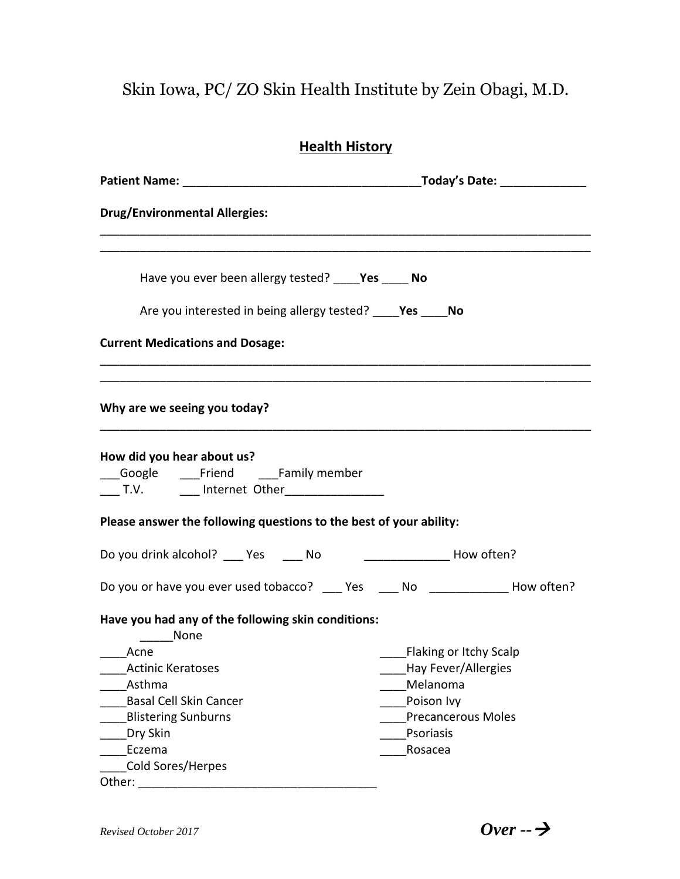# Skin Iowa, PC/ ZO Skin Health Institute by Zein Obagi, M.D.

## **Health History**

| <b>Drug/Environmental Allergies:</b>                                                                        |                               |  |  |  |
|-------------------------------------------------------------------------------------------------------------|-------------------------------|--|--|--|
| Have you ever been allergy tested? ____ Yes _____ No                                                        |                               |  |  |  |
| Are you interested in being allergy tested? Yes No                                                          |                               |  |  |  |
| <b>Current Medications and Dosage:</b>                                                                      |                               |  |  |  |
|                                                                                                             |                               |  |  |  |
| Why are we seeing you today?                                                                                |                               |  |  |  |
| How did you hear about us?<br>Google Friend Family member<br>___ T.V. _____ Internet Other_________________ |                               |  |  |  |
| Please answer the following questions to the best of your ability:                                          |                               |  |  |  |
| Do you drink alcohol? ____ Yes _____ No _______________________ How often?                                  |                               |  |  |  |
| Do you or have you ever used tobacco? ____ Yes ____ No ______________ How often?                            |                               |  |  |  |
| Have you had any of the following skin conditions:<br>None                                                  |                               |  |  |  |
| Acne                                                                                                        | <b>Flaking or Itchy Scalp</b> |  |  |  |
| <b>Actinic Keratoses</b>                                                                                    | Hay Fever/Allergies           |  |  |  |
| Asthma                                                                                                      | Melanoma                      |  |  |  |
| <b>Basal Cell Skin Cancer</b>                                                                               | Poison Ivy                    |  |  |  |
| <b>Blistering Sunburns</b>                                                                                  | <b>Precancerous Moles</b>     |  |  |  |
| Dry Skin                                                                                                    | Psoriasis                     |  |  |  |
| Eczema<br>Cold Sores/Herpes                                                                                 | Rosacea                       |  |  |  |
|                                                                                                             |                               |  |  |  |

| Other: |  |
|--------|--|
|        |  |